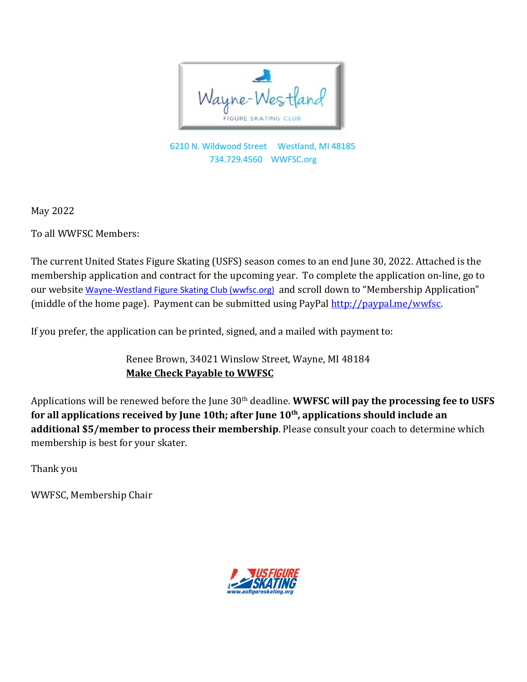

6210 N. Wildwood Street Westland, MI 48185 734.729.4560 WWFSC.org

May 2022

To all WWFSC Members:

The current United States Figure Skating (USFS) season comes to an end June 30, 2022. Attached is the membership application and contract for the upcoming year. To complete the application on-line, go to our website [Wayne-Westland](https://wwfsc.org/) Figure Skating Club (wwfsc.org) and scroll down to "Membership Application" (middle of the home page). Payment can be submitted using PayPal [http://paypal.me/wwfsc.](http://paypal.me/wwfsc)

If you prefer, the application can be printed, signed, and a mailed with payment to:

Renee Brown, 34021 Winslow Street, Wayne, MI 48184 **Make Check Payable to WWFSC**

Applications will be renewed before the June 30<sup>th</sup> deadline. **WWFSC will pay the processing fee to USFS for all applications received by June 10th; after June 10 th , applications should include an additional \$5/member to process their membership**. Please consult your coach to determine which membership is best for your skater.

Thank you

WWFSC, Membership Chair

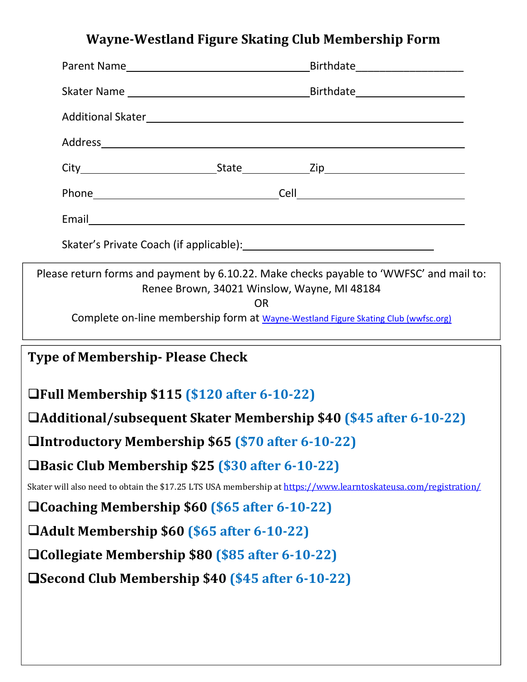# **Wayne-Westland Figure Skating Club Membership Form**

|                                                                                                                                                                                                                                                                                                                                                                                                                                                                                                                                                                                                                                                                                                                                                         | <b>OR</b>                                                                          |  |  |  |  |
|---------------------------------------------------------------------------------------------------------------------------------------------------------------------------------------------------------------------------------------------------------------------------------------------------------------------------------------------------------------------------------------------------------------------------------------------------------------------------------------------------------------------------------------------------------------------------------------------------------------------------------------------------------------------------------------------------------------------------------------------------------|------------------------------------------------------------------------------------|--|--|--|--|
|                                                                                                                                                                                                                                                                                                                                                                                                                                                                                                                                                                                                                                                                                                                                                         | Complete on-line membership form at Wayne-Westland Figure Skating Club (wwfsc.org) |  |  |  |  |
|                                                                                                                                                                                                                                                                                                                                                                                                                                                                                                                                                                                                                                                                                                                                                         |                                                                                    |  |  |  |  |
|                                                                                                                                                                                                                                                                                                                                                                                                                                                                                                                                                                                                                                                                                                                                                         |                                                                                    |  |  |  |  |
|                                                                                                                                                                                                                                                                                                                                                                                                                                                                                                                                                                                                                                                                                                                                                         |                                                                                    |  |  |  |  |
|                                                                                                                                                                                                                                                                                                                                                                                                                                                                                                                                                                                                                                                                                                                                                         |                                                                                    |  |  |  |  |
|                                                                                                                                                                                                                                                                                                                                                                                                                                                                                                                                                                                                                                                                                                                                                         |                                                                                    |  |  |  |  |
|                                                                                                                                                                                                                                                                                                                                                                                                                                                                                                                                                                                                                                                                                                                                                         |                                                                                    |  |  |  |  |
|                                                                                                                                                                                                                                                                                                                                                                                                                                                                                                                                                                                                                                                                                                                                                         |                                                                                    |  |  |  |  |
|                                                                                                                                                                                                                                                                                                                                                                                                                                                                                                                                                                                                                                                                                                                                                         |                                                                                    |  |  |  |  |
|                                                                                                                                                                                                                                                                                                                                                                                                                                                                                                                                                                                                                                                                                                                                                         |                                                                                    |  |  |  |  |
| Please return forms and payment by 6.10.22. Make checks payable to 'WWFSC' and mail to:<br>Renee Brown, 34021 Winslow, Wayne, MI 48184<br><b>Type of Membership- Please Check</b><br>□Full Membership \$115 (\$120 after 6-10-22)<br>□Additional/subsequent Skater Membership \$40 (\$45 after 6-10-22)<br>□Introductory Membership \$65 (\$70 after 6-10-22)<br>□Basic Club Membership \$25 (\$30 after 6-10-22)<br>Skater will also need to obtain the \$17.25 LTS USA membership at https://www.learntoskateusa.com/registration/<br>□ Coaching Membership \$60 (\$65 after 6-10-22)<br>□Adult Membership \$60 (\$65 after 6-10-22)<br>□ Collegiate Membership \$80 (\$85 after 6-10-22)<br><b>□Second Club Membership \$40 (\$45 after 6-10-22)</b> |                                                                                    |  |  |  |  |
|                                                                                                                                                                                                                                                                                                                                                                                                                                                                                                                                                                                                                                                                                                                                                         |                                                                                    |  |  |  |  |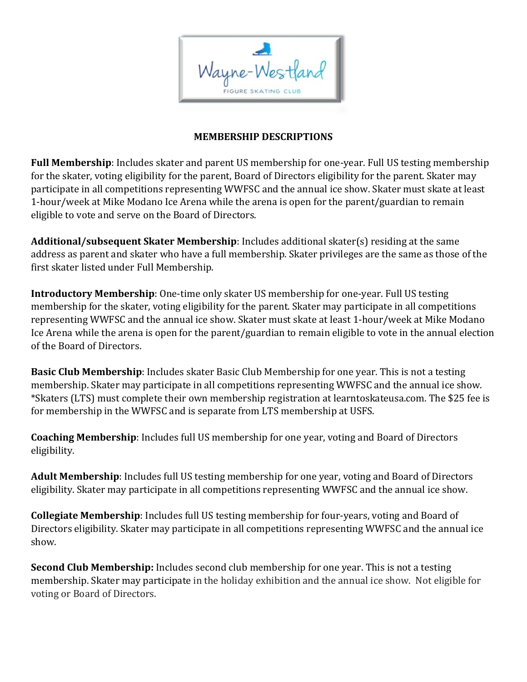

## **MEMBERSHIP DESCRIPTIONS**

**Full Membership**: Includes skater and parent US membership for one-year. Full US testing membership for the skater, voting eligibility for the parent, Board of Directors eligibility for the parent. Skater may participate in all competitions representing WWFSC and the annual ice show. Skater must skate at least 1-hour/week at Mike Modano Ice Arena while the arena is open for the parent/guardian to remain eligible to vote and serve on the Board of Directors.

**Additional/subsequent Skater Membership**: Includes additional skater(s) residing at the same address as parent and skater who have a full membership. Skater privileges are the same as those of the first skater listed under Full Membership.

**Introductory Membership**: One-time only skater US membership for one-year. Full US testing membership for the skater, voting eligibility for the parent. Skater may participate in all competitions representing WWFSC and the annual ice show. Skater must skate at least 1-hour/week at Mike Modano Ice Arena while the arena is open for the parent/guardian to remain eligible to vote in the annual election of the Board of Directors.

**Basic Club Membership**: Includes skater Basic Club Membership for one year. This is not a testing membership. Skater may participate in all competitions representing WWFSC and the annual ice show. \*Skaters (LTS) must complete their own membership registration at learntoskateusa.com. The \$25 fee is for membership in the WWFSC and is separate from LTS membership at USFS.

**Coaching Membership**: Includes full US membership for one year, voting and Board of Directors eligibility.

**Adult Membership**: Includes full US testing membership for one year, voting and Board of Directors eligibility. Skater may participate in all competitions representing WWFSC and the annual ice show.

**Collegiate Membership**: Includes full US testing membership for four-years, voting and Board of Directors eligibility. Skater may participate in all competitions representing WWFSC and the annual ice show.

**Second Club Membership:** Includes second club membership for one year. This is not a testing membership. Skater may participate in the holiday exhibition and the annual ice show. Not eligible for voting or Board of Directors.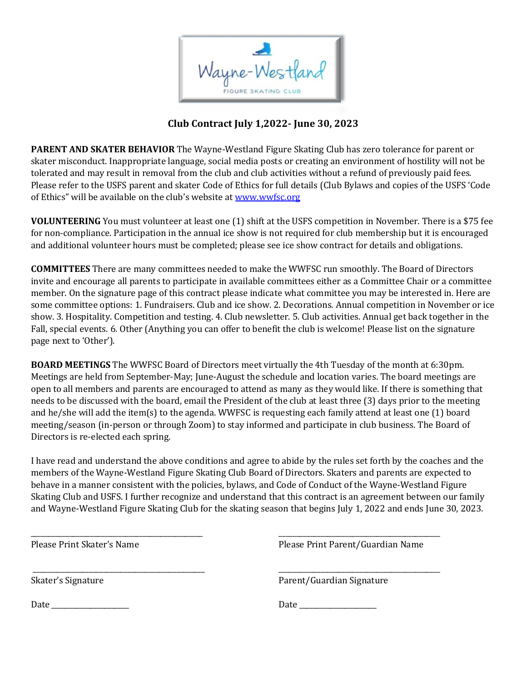

## **Club Contract July 1,2022-June 30, 2023**

**PARENT AND SKATER BEHAVIOR** The Wayne-Westland Figure Skating Club has zero tolerance for parent or skater misconduct. Inappropriate language, social media posts or creating an environment of hostility will not be tolerated and may result in removal from the club and club activities without a refund of previously paid fees. Please refer to the USFS parent and skater Code of Ethics for full details (Club Bylaws and copies of the USFS 'Code of Ethics" will be available on the club's website at [www.wwfsc.org](http://www.wwfsc.org)

**VOLUNTEERING** You must volunteer at least one (1) shift at the USFS competition in November. There is a \$75 fee for non-compliance. Participation in the annual ice show is notrequired for club membership but it is encouraged and additional volunteer hours must be completed; please see ice show contract for details and obligations.

**COMMITTEES** There are many committees needed to make the WWFSC run smoothly. The Board of Directors invite and encourage all parents to participate in available committees either as a Committee Chair or a committee member. On the signature page of this contract please indicate what committee you may be interested in. Here are some committee options: 1. Fundraisers. Club and ice show. 2. Decorations. Annual competition in November or ice show. 3. Hospitality. Competition and testing. 4. Club newsletter. 5. Club activities. Annual get back together in the Fall, special events. 6. Other (Anything you can offer to benefit the club is welcome! Please list on the signature page next to 'Other').

**BOARD MEETINGS** The WWFSC Board of Directors meet virtually the 4th Tuesday of the month at 6:30pm. Meetings are held from September-May; June-August the schedule and location varies. The board meetings are open to all members and parents are encouraged to attend as many as they would like. If there is something that needs to be discussed with the board, email the President of the club at least three (3) days prior to the meeting and he/she will add the item(s) to the agenda. WWFSC is requesting each family attend at least one (1) board meeting/season (in-person or through Zoom) to stay informed and participate in club business. The Board of Directors is re-elected each spring.

I have read and understand the above conditions and agree to abide by the rules set forth by the coaches and the members of the Wayne-Westland Figure Skating Club Board of Directors. Skaters and parents are expected to behave in a manner consistent with the policies, bylaws, and Code of Conduct of the Wayne-Westland Figure Skating Club and USFS. I further recognize and understand that this contract is an agreement between our family and Wayne-Westland Figure Skating Club for the skating season that begins July 1, 2022 and ends June 30, 2023.

 $\overbrace{\phantom{xxxxx}}$  , and the contract of the contract of the contract of the contract of the contract of the contract of the contract of the contract of the contract of the contract of the contract of the contract of the contra Please Print Skater's Name Please Print Parent/Guardian Name

 $\overbrace{\phantom{xxxxx}}$  , and the contract of the contract of the contract of the contract of the contract of the contract of the contract of the contract of the contract of the contract of the contract of the contract of the contra Skater's Signature **Parent/Guardian Signature** 

Date \_\_\_\_\_\_\_\_\_\_\_\_\_\_\_\_\_\_\_\_\_\_ Date \_\_\_\_\_\_\_\_\_\_\_\_\_\_\_\_\_\_\_\_\_\_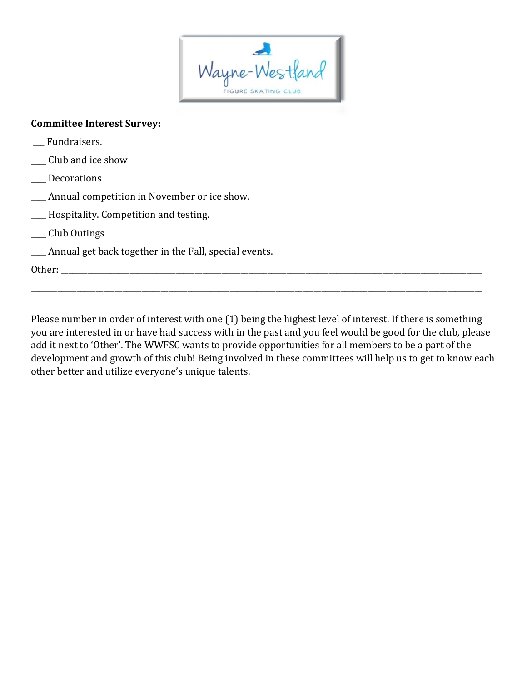

#### **Committee Interest Survey:**

- Fundraisers.
- \_\_\_\_ Club and ice show
- \_\_\_\_ Decorations
- \_\_\_\_ Annual competition in November or ice show.
- \_\_\_\_ Hospitality. Competition and testing.
- \_\_\_\_ Club Outings
- \_\_\_\_ Annual get back together in the Fall, special events.

Other:  $\_\_$ 

Please number in order of interest with one (1) being the highest level of interest. If there is something you are interested in or have had success with in the past and you feel would begood for the club, please add it next to 'Other'. The WWFSC wants to provide opportunities for all members to be a part of the development and growth of this club! Being involved in these committees will help us to get to know each other better and utilize everyone's unique talents.

\_\_\_\_\_\_\_\_\_\_\_\_\_\_\_\_\_\_\_\_\_\_\_\_\_\_\_\_\_\_\_\_\_\_\_\_\_\_\_\_\_\_\_\_\_\_\_\_\_\_\_\_\_\_\_\_\_\_\_\_\_\_\_\_\_\_\_\_\_\_\_\_\_\_\_\_\_\_\_\_\_\_\_\_\_\_\_\_\_\_\_\_\_\_\_\_\_\_\_\_\_\_\_\_\_\_\_\_\_\_\_\_\_\_\_\_\_\_